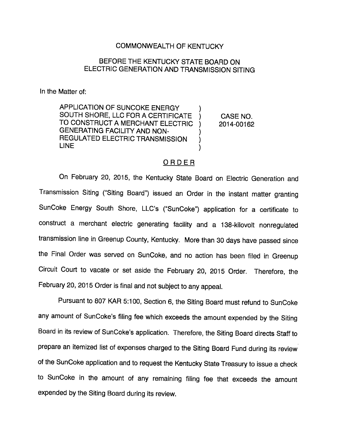## COMMONWEALTH OF KENTUCKY

## BEFORE THE KENTUCKY STATE BOARD ON ELECTRIC GENERATION AND TRANSMISSION SITING

In the Matter of:

APPLICATION OF SUNCOKE ENERGY SOUTH SHORE, LLC FOR A CERTIFICATE Υ. TO CONSTRUCT A MERCHANT ELECTRIC  $\lambda$ GENERATING FACILITY AND NON-REGULATED ELECTRIC TRANSMISSION  $\mathcal{E}$ LINE  $\mathcal{E}$ 

CASE NO. 2014-00162

## **ORDER**

On February 20, 2015, the Kentucky State Board on Electric Generation and Transmission Siting ("Siting Board") issued an Order in the instant matter granting SunCoke Energy South Shore, LLC's ("SunCoke") application for a certificate to construct a merchant electric generating facility and a 138-kllovolt nonregulated transmission line in Greenup County, Kentucky. More than 30 days have passed since the Final Order was served on SunCoke, and no action has been filed in Greenup Circuit Court to vacate or set aside the February 20, 2015 Order. Therefore, the February 20, 2015 Order is final and not subject to any appeal.

Pursuant to 807 KAR 5:100, Section 6, the Siting Board must refund to SunCoke any amount of SunCoke's filing fee which exceeds the amount expended by the Siting Board in its review of SunCoke's application. Therefore, the Siting Board directs Staff to prepare an itemized list of expenses charged to the Siting Board Fund during its review of the SunCoke application and to request the Kentucky State Treasury to issue a check to SunCoke in the amount of any remaining filing fee that exceeds the amount expended by the Siting Board during its review.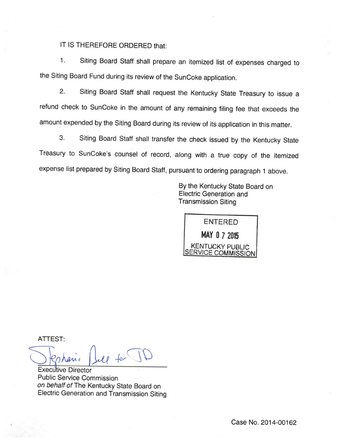## IT IS THEREFORE ORDERED that:

1. Siting Board Staff shall prepare an itemized list of expenses charged to the Siting Board Fund during its review of the SunCoke application.

2. Siting Board Staff shall request the Kentucky State Treasury to issue a refund check to SunCoke in the amount of any remaining filing fee that exceeds the amount expended by the Siting Board during its review of its application in this matter.

3. Siting Board Staff shall transfer the check issued by the Kentucky State Treasury to SunCoke's counsel of record, along with a true copy of the itemized expense list prepared by Siting Board Staff, pursuant to ordering paragraph 1above.

> By the Kentucky State Board on Electric Generation and Transmission Siting



ATTEST:

 $u$  for  $\overline{u}$ 

Executive Director Public Service Commission on behalf of The Kentucky State Board on Electric Generation and Transmission Siting